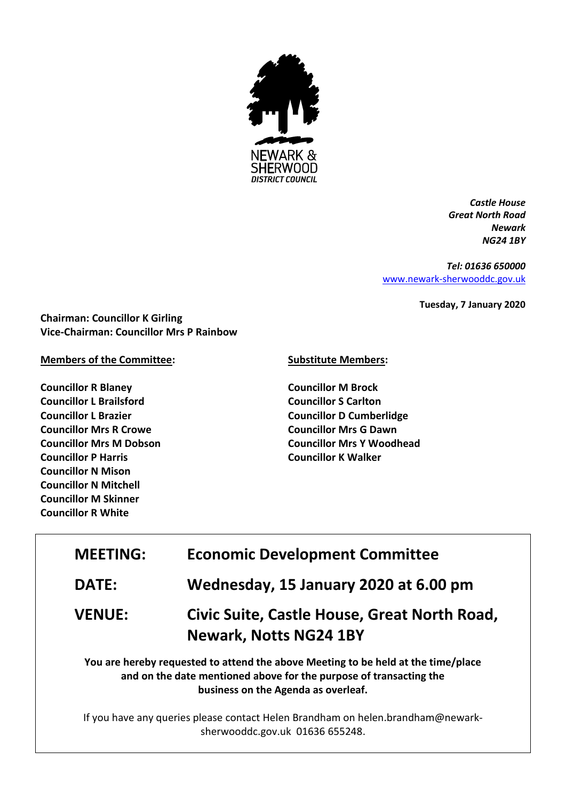

*Castle House Great North Road Newark NG24 1BY*

*Tel: 01636 650000* [www.newark-sherwooddc.gov.uk](http://www.newark-sherwooddc.gov.uk/)

**Tuesday, 7 January 2020**

**Chairman: Councillor K Girling Vice-Chairman: Councillor Mrs P Rainbow**

## **Members of the Committee:**

**Councillor R Blaney Councillor L Brailsford Councillor L Brazier Councillor Mrs R Crowe Councillor Mrs M Dobson Councillor P Harris Councillor N Mison Councillor N Mitchell Councillor M Skinner Councillor R White**

## **Substitute Members:**

**Councillor M Brock Councillor S Carlton Councillor D Cumberlidge Councillor Mrs G Dawn Councillor Mrs Y Woodhead Councillor K Walker**

| <b>MEETING:</b> | <b>Economic Development Committee</b>                                                                                                                                                          |
|-----------------|------------------------------------------------------------------------------------------------------------------------------------------------------------------------------------------------|
| <b>DATE:</b>    | Wednesday, 15 January 2020 at 6.00 pm                                                                                                                                                          |
| <b>VENUE:</b>   | Civic Suite, Castle House, Great North Road,<br><b>Newark, Notts NG24 1BY</b>                                                                                                                  |
|                 | You are hereby requested to attend the above Meeting to be held at the time/place<br>and on the date mentioned above for the purpose of transacting the<br>business on the Agenda as overleaf. |

If you have any queries please contact Helen Brandham on helen.brandham@newarksherwooddc.gov.uk 01636 655248.